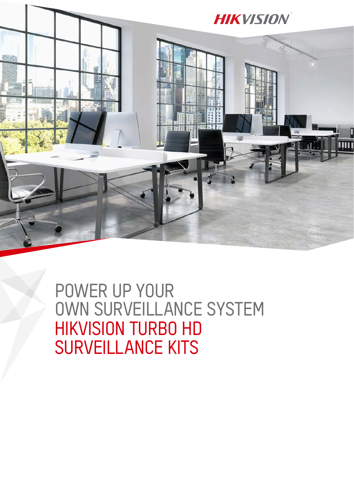

HIKVISION TURBO HD SURVEILLANCE KITS POWER UP YOUR OWN SURVEILLANCE SYSTEM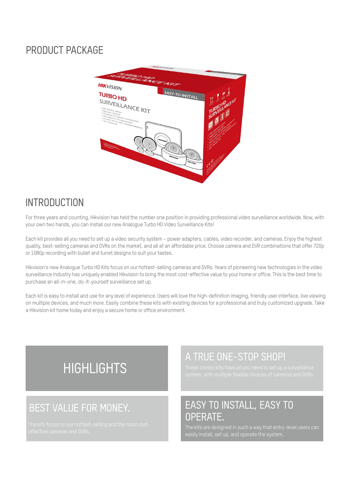#### PRODUCT PACKAGE



#### **INTRODUCTION**

For three years and counting, Hikvision has held the number one position in providing professional video surveillance worldwide. Now, with your own two hands, you can install our new Analogue Turbo HD Video Surveillance Kits!

Each kit provides all you need to set up a video security system – power adapters, cables, video recorder, and cameras. Enjoy the highest quality, best-selling cameras and DVRs on the market, and all at an affordable price. Choose camera and DVR combinations that offer 720p or 1080p recording with bullet and turret designs to suit your tastes.

Hikvision's new Analogue Turbo HD Kits focus on our hottest-selling cameras and DVRs. Years of pioneering new technologies in the video surveillance industry has uniquely enabled Hikvision to bring the most cost-effective value to your home or office. This is the best time to purchase an all-in-one, do-it-yourself surveillance set up.

Each kit is easy to install and use for any level of experience. Users will love the high-definition imaging, friendly user interface, live viewing on multiple devices, and much more. Easily combine these kits with existing devices for a professional and truly customized upgrade. Take a Hikvision kit home today and enjoy a secure home or office environment.

# **HIGHLIGHTS**

#### A TRUE ONE-STOP SHOP!

#### BEST VALUE FOR MONEY. EASY TO INSTALL, EASY TO OPERATE.

rie kits locus on our nottest-setting and the most cost-company of the kits are designed in such a way that entry-level users can<br>Effective cameras and DVRs.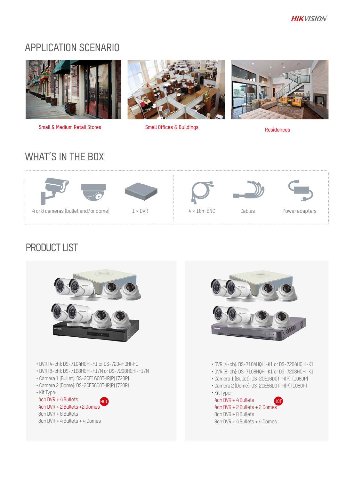#### APPLICATION SCENARIO



Small & Medium Retail Stores Small Offices & Buildings Residences





### WHAT'S IN THE BOX



## PRODUCT LIST



- DVR (4-ch): DS-7104HGHI-F1 or DS-7204HGHI-F1
- DVR (8-ch): DS-7108HGHI-F1/N or DS-7208HGHI-F1/N
- Camera 1 (Bullet): DS-2CE16C0T-IR(P) (720P)
- Camera 2 (Dome): DS-2CE56C0T-IR(P) (720P)
- Kit Type:

 4ch DVR + 4 Bullets 4ch DVR + 2 Bullets +2 Domes 8ch DVR + 8 Bullets 8ch DVR + 4 Bullets + 4 Domes



- DVR (4-ch): DS-7104HQHI-K1 or DS-7204HQHI-K1
- DVR (8-ch): DS-7108HQHI-K1 or DS-7208HQHI-K1
- Camera 1 (Bullet): DS-2CE16D0T-IR(P) (1080P)
- Camera 2 (Dome): DS-2CE56D0T-IR(P) (1080P)
- Kit Type:

HOT A RULLET AND THE RESERVE AND THE RESERVE AND THE RESERVE AND MOST AND HOT AND THE RESERVE AND THE RESERVE A 4ch DVR + 2 Bullets + 2 Domes 8ch DVR + 8 Bullets 8ch DVR + 4 Bullets + 4 Domes